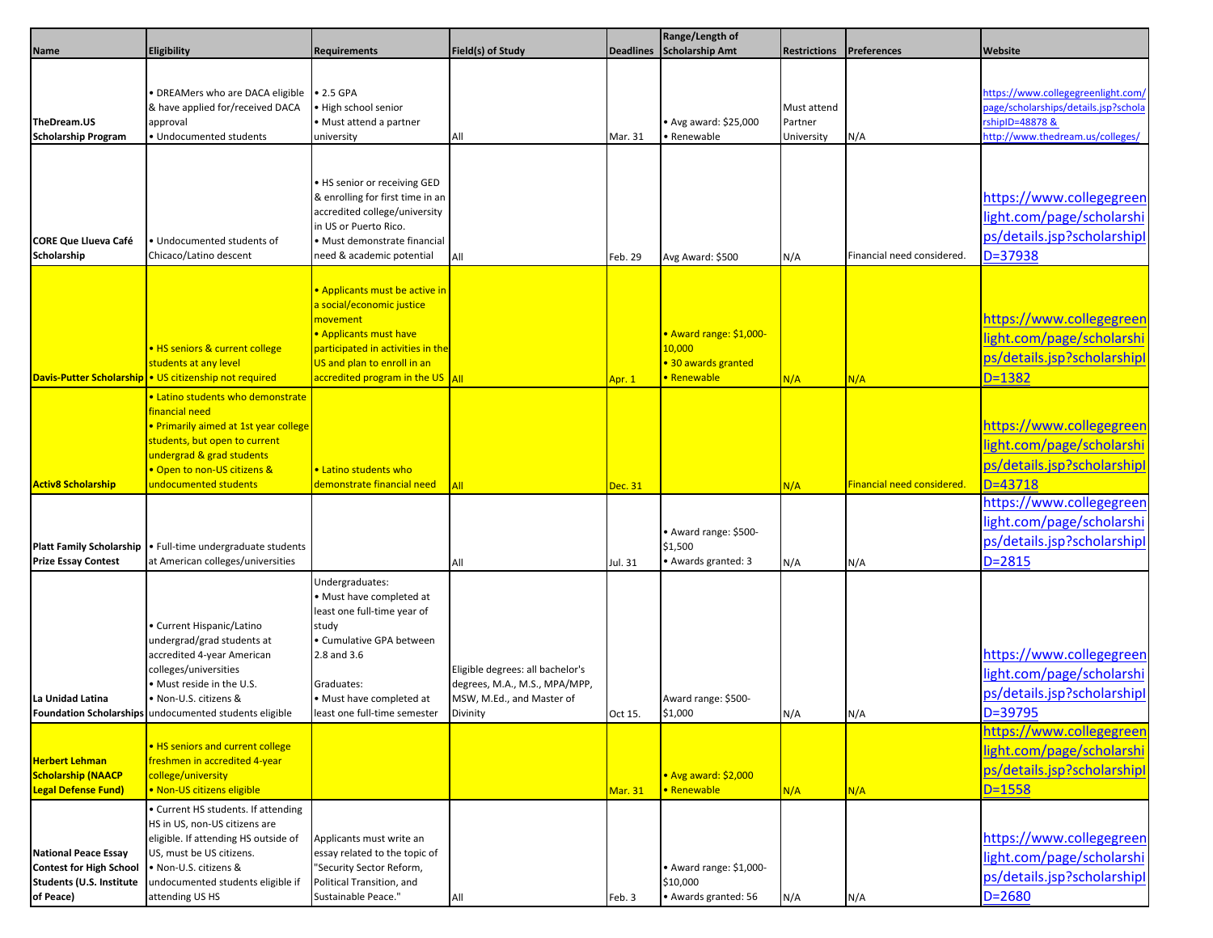|                                                                                                               |                                                                                                                                                                                                                                |                                                                                                                                                                                                                                       |                                                                                                            |                  | Range/Length of                                                         |                                      |                            |                                                                                                                                   |
|---------------------------------------------------------------------------------------------------------------|--------------------------------------------------------------------------------------------------------------------------------------------------------------------------------------------------------------------------------|---------------------------------------------------------------------------------------------------------------------------------------------------------------------------------------------------------------------------------------|------------------------------------------------------------------------------------------------------------|------------------|-------------------------------------------------------------------------|--------------------------------------|----------------------------|-----------------------------------------------------------------------------------------------------------------------------------|
| Name                                                                                                          | <b>Eligibility</b>                                                                                                                                                                                                             | <b>Requirements</b>                                                                                                                                                                                                                   | Field(s) of Study                                                                                          | <b>Deadlines</b> | Scholarship Amt                                                         | <b>Restrictions</b>                  | Preferences                | Website                                                                                                                           |
| TheDream.US<br><b>Scholarship Program</b>                                                                     | • DREAMers who are DACA eligible • 2.5 GPA<br>& have applied for/received DACA<br>approval<br>· Undocumented students                                                                                                          | High school senior<br>· Must attend a partner<br>university                                                                                                                                                                           | All                                                                                                        | Mar. 31          | • Avg award: \$25,000<br>Renewable                                      | Must attend<br>Partner<br>University | N/A                        | https://www.collegegreenlight.com/<br>page/scholarships/details.jsp?schola<br>rshipID=48878 &<br>http://www.thedream.us/colleges/ |
| <b>CORE Que Llueva Café</b><br>Scholarship                                                                    | Undocumented students of<br>Chicaco/Latino descent                                                                                                                                                                             | . HS senior or receiving GED<br>& enrolling for first time in an<br>accredited college/university<br>in US or Puerto Rico.<br>· Must demonstrate financial<br>need & academic potential                                               | All                                                                                                        | Feb. 29          | Avg Award: \$500                                                        | N/A                                  | Financial need considered. | https://www.collegegreen<br>light.com/page/scholarshi<br>ps/details.jsp?scholarshipl<br>D=37938                                   |
|                                                                                                               | . HS seniors & current college<br>students at any level<br>Davis-Putter Scholarship • US citizenship not required                                                                                                              | . Applicants must be active in<br>a social/economic justice<br>movement<br>• Applicants must have<br>participated in activities in the<br>US and plan to enroll in an<br>$\frac{1}{2}$ accredited program in the US $\frac{1}{2}$ All |                                                                                                            | Apr. 1           | · Award range: \$1,000-<br>10,000<br>• 30 awards granted<br>• Renewable | N/A                                  | N/A                        | https://www.collegegreen<br>light.com/page/scholarshi<br>ps/details.jsp?scholarshipl<br>$D = 1382$                                |
| <b>Activ8 Scholarship</b>                                                                                     | . Latino students who demonstrate<br>financial need<br>· Primarily aimed at 1st year college<br>students, but open to current<br>undergrad & grad students<br>• Open to non-US citizens &<br>undocumented students             | • Latino students who<br>demonstrate financial need                                                                                                                                                                                   | All                                                                                                        | Dec. 31          |                                                                         | N/A                                  | Financial need considered. | https://www.collegegreen<br>light.com/page/scholarshi<br>ps/details.jsp?scholarshipl<br>$D = 43718$                               |
| <b>Prize Essay Contest</b>                                                                                    | Platt Family Scholarship   • Full-time undergraduate students<br>at American colleges/universities                                                                                                                             |                                                                                                                                                                                                                                       | All                                                                                                        | Jul. 31          | Award range: \$500-<br>\$1,500<br>Awards granted: 3                     | N/A                                  | N/A                        | https://www.collegegreen<br>light.com/page/scholarshi<br>ps/details.jsp?scholarshipl<br>$D = 2815$                                |
| La Unidad Latina                                                                                              | • Current Hispanic/Latino<br>undergrad/grad students at<br>accredited 4-year American<br>colleges/universities<br>. Must reside in the U.S.<br>· Non-U.S. citizens &<br>Foundation Scholarships undocumented students eligible | Undergraduates:<br>Must have completed at<br>least one full-time year of<br>study<br>· Cumulative GPA between<br>2.8 and 3.6<br>Graduates:<br>· Must have completed at<br>least one full-time semester                                | Eligible degrees: all bachelor's<br>degrees, M.A., M.S., MPA/MPP,<br>MSW, M.Ed., and Master of<br>Divinity | Oct 15.          | Award range: \$500-<br>\$1,000                                          | N/A                                  | N/A                        | https://www.collegegreen<br>light.com/page/scholarshi<br>ps/details.jsp?scholarshipl<br>D=39795                                   |
| <b>Herbert Lehman</b><br><b>Scholarship (NAACP</b><br><b>Legal Defense Fund)</b>                              | . HS seniors and current college<br>freshmen in accredited 4-year<br>college/university<br>· Non-US citizens eligible                                                                                                          |                                                                                                                                                                                                                                       |                                                                                                            | <b>Mar. 31</b>   | <b>Avg award: \$2,000</b><br>• Renewable                                | N/A                                  | N/A                        | https://www.collegegreen<br>light.com/page/scholarshi<br>ps/details.jsp?scholarshipl<br>$D = 1558$                                |
| <b>National Peace Essay</b><br><b>Contest for High School</b><br><b>Students (U.S. Institute</b><br>of Peace) | • Current HS students. If attending<br>HS in US, non-US citizens are<br>eligible. If attending HS outside of<br>US, must be US citizens.<br>• Non-U.S. citizens &<br>undocumented students eligible if<br>attending US HS      | Applicants must write an<br>essay related to the topic of<br>"Security Sector Reform,<br>Political Transition, and<br>Sustainable Peace."                                                                                             | All                                                                                                        | Feb. 3           | • Award range: \$1,000-<br>\$10,000<br>· Awards granted: 56             | N/A                                  | N/A                        | https://www.collegegreen<br>light.com/page/scholarshi<br>ps/details.jsp?scholarshipl<br>$D = 2680$                                |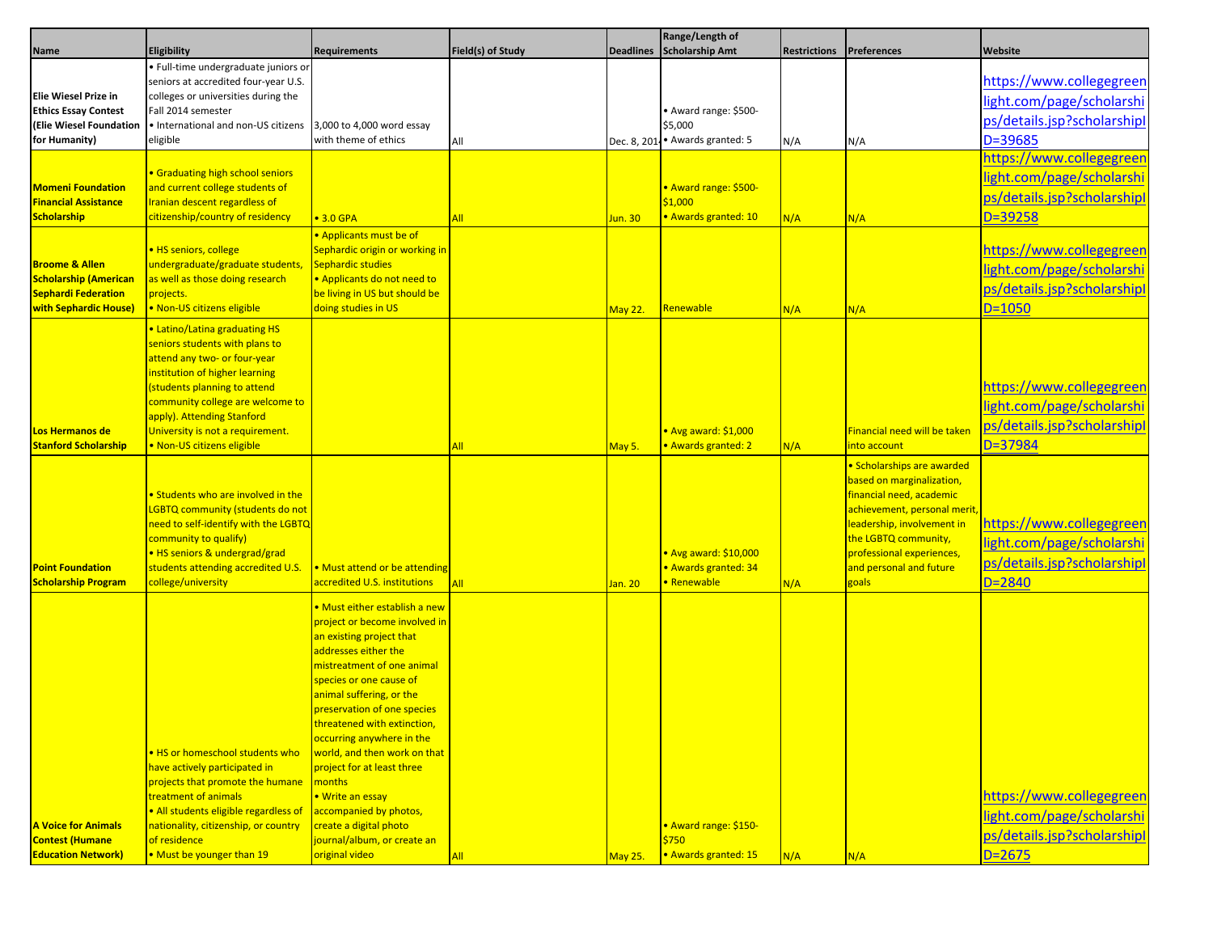|                                                 |                                                                            |                                                           |                   |                  | Range/Length of                |                     |                              |                             |
|-------------------------------------------------|----------------------------------------------------------------------------|-----------------------------------------------------------|-------------------|------------------|--------------------------------|---------------------|------------------------------|-----------------------------|
| Name                                            | Eligibility                                                                | <b>Requirements</b>                                       | Field(s) of Study | <b>Deadlines</b> | Scholarship Amt                | <b>Restrictions</b> | <b>Preferences</b>           | Website                     |
|                                                 | · Full-time undergraduate juniors or                                       |                                                           |                   |                  |                                |                     |                              |                             |
|                                                 | seniors at accredited four-year U.S.                                       |                                                           |                   |                  |                                |                     |                              | https://www.collegegreen    |
| Elie Wiesel Prize in                            | colleges or universities during the                                        |                                                           |                   |                  |                                |                     |                              | light.com/page/scholarshi   |
| <b>Ethics Essay Contest</b>                     | Fall 2014 semester                                                         |                                                           |                   |                  | • Award range: \$500-          |                     |                              | ps/details.jsp?scholarshipl |
| <b>(Elie Wiesel Foundation</b><br>for Humanity) | · International and non-US citizens<br>eligible                            | 3,000 to 4,000 word essay<br>with theme of ethics         |                   |                  | \$5,000<br>• Awards granted: 5 |                     |                              | D=39685                     |
|                                                 |                                                                            |                                                           | All               | Dec. 8, 201      |                                | N/A                 | N/A                          |                             |
|                                                 |                                                                            |                                                           |                   |                  |                                |                     |                              | https://www.collegegreen    |
| <b>Momeni Foundation</b>                        | <b>• Graduating high school seniors</b><br>and current college students of |                                                           |                   |                  | <b>Award range: \$500-</b>     |                     |                              | light.com/page/scholarshi   |
| <b>Financial Assistance</b>                     | Iranian descent regardless of                                              |                                                           |                   |                  | \$1,000                        |                     |                              | ps/details.jsp?scholarshipl |
| <b>Scholarship</b>                              | citizenship/country of residency                                           | $\bullet$ 3.0 GPA                                         | All               | Jun. 30          | · Awards granted: 10           | N/A                 | N/A                          | $D = 39258$                 |
|                                                 |                                                                            | Applicants must be of                                     |                   |                  |                                |                     |                              |                             |
|                                                 | · HS seniors, college                                                      | Sephardic origin or working in                            |                   |                  |                                |                     |                              | https://www.collegegreen    |
| <b>Broome &amp; Allen</b>                       | undergraduate/graduate students                                            | Sephardic studies                                         |                   |                  |                                |                     |                              |                             |
| <b>Scholarship (American</b>                    | as well as those doing research                                            | . Applicants do not need to                               |                   |                  |                                |                     |                              | light.com/page/scholarshi   |
| <b>Sephardi Federation</b>                      | projects.                                                                  | be living in US but should be                             |                   |                  |                                |                     |                              | ps/details.jsp?scholarshipl |
| <b>with Sephardic House</b>                     | . Non-US citizens eligible                                                 | doing studies in US                                       |                   | May 22.          | Renewable                      | N/A                 | N/A                          | $D = 1050$                  |
|                                                 | • Latino/Latina graduating HS                                              |                                                           |                   |                  |                                |                     |                              |                             |
|                                                 | seniors students with plans to                                             |                                                           |                   |                  |                                |                     |                              |                             |
|                                                 | attend any two- or four-year                                               |                                                           |                   |                  |                                |                     |                              |                             |
|                                                 | institution of higher learning                                             |                                                           |                   |                  |                                |                     |                              |                             |
|                                                 | students planning to attend                                                |                                                           |                   |                  |                                |                     |                              | https://www.collegegreen    |
|                                                 | community college are welcome to                                           |                                                           |                   |                  |                                |                     |                              | light.com/page/scholarshi   |
|                                                 | apply). Attending Stanford                                                 |                                                           |                   |                  |                                |                     |                              |                             |
| Los Hermanos de                                 | University is not a requirement.                                           |                                                           |                   |                  | <b>Avg award: \$1,000</b>      |                     | Financial need will be taken | ps/details.jsp?scholarshipl |
| <b>Stanford Scholarship</b>                     | · Non-US citizens eligible                                                 |                                                           | All               | May 5.           | <b>Awards granted: 2</b>       | N/A                 | into account                 | $D = 37984$                 |
|                                                 |                                                                            |                                                           |                   |                  |                                |                     | · Scholarships are awarded   |                             |
|                                                 |                                                                            |                                                           |                   |                  |                                |                     | based on marginalization,    |                             |
|                                                 | • Students who are involved in the                                         |                                                           |                   |                  |                                |                     | financial need, academic     |                             |
|                                                 | LGBTQ community (students do not                                           |                                                           |                   |                  |                                |                     | achievement, personal merit  |                             |
|                                                 | need to self-identify with the LGBTQ                                       |                                                           |                   |                  |                                |                     | leadership, involvement in   | https://www.collegegreen    |
|                                                 | community to qualify)                                                      |                                                           |                   |                  |                                |                     | the LGBTQ community,         | light.com/page/scholarshi   |
|                                                 | • HS seniors & undergrad/grad                                              |                                                           |                   |                  | <b>Avg award: \$10,000</b>     |                     | professional experiences,    | ps/details.jsp?scholarshipl |
| <b>Point Foundation</b>                         | students attending accredited U.S.                                         | • Must attend or be attending                             |                   |                  | <b>Awards granted: 34</b>      |                     | and personal and future      |                             |
| <b>Scholarship Program</b>                      | college/university                                                         | accredited U.S. institutions                              | All               | Jan. 20          | Renewable                      | N/A                 | goals                        | $D = 2840$                  |
|                                                 |                                                                            | • Must either establish a new                             |                   |                  |                                |                     |                              |                             |
|                                                 |                                                                            | project or become involved in                             |                   |                  |                                |                     |                              |                             |
|                                                 |                                                                            | an existing project that                                  |                   |                  |                                |                     |                              |                             |
|                                                 |                                                                            | addresses either the                                      |                   |                  |                                |                     |                              |                             |
|                                                 |                                                                            | mistreatment of one animal                                |                   |                  |                                |                     |                              |                             |
|                                                 |                                                                            | species or one cause of                                   |                   |                  |                                |                     |                              |                             |
|                                                 |                                                                            | animal suffering, or the                                  |                   |                  |                                |                     |                              |                             |
|                                                 |                                                                            | preservation of one species                               |                   |                  |                                |                     |                              |                             |
|                                                 |                                                                            | threatened with extinction,                               |                   |                  |                                |                     |                              |                             |
|                                                 |                                                                            | occurring anywhere in the<br>world, and then work on that |                   |                  |                                |                     |                              |                             |
|                                                 | . HS or homeschool students who<br>have actively participated in           | project for at least three                                |                   |                  |                                |                     |                              |                             |
|                                                 | projects that promote the humane                                           | months                                                    |                   |                  |                                |                     |                              |                             |
|                                                 | treatment of animals                                                       | • Write an essay                                          |                   |                  |                                |                     |                              | https://www.collegegreen    |
|                                                 | · All students eligible regardless of                                      | accompanied by photos,                                    |                   |                  |                                |                     |                              | light.com/page/scholarshi   |
| <b>A Voice for Animals</b>                      | nationality, citizenship, or country                                       | create a digital photo                                    |                   |                  | · Award range: \$150-          |                     |                              |                             |
| <b>Contest (Humane</b>                          | of residence                                                               | journal/album, or create an                               |                   |                  | \$750                          |                     |                              | ps/details.jsp?scholarshipl |
| <b>Education Network)</b>                       | • Must be younger than 19                                                  | original video                                            | <b>All</b>        | <b>May 25.</b>   | · Awards granted: 15           | N/A                 | N/A                          | $D = 2675$                  |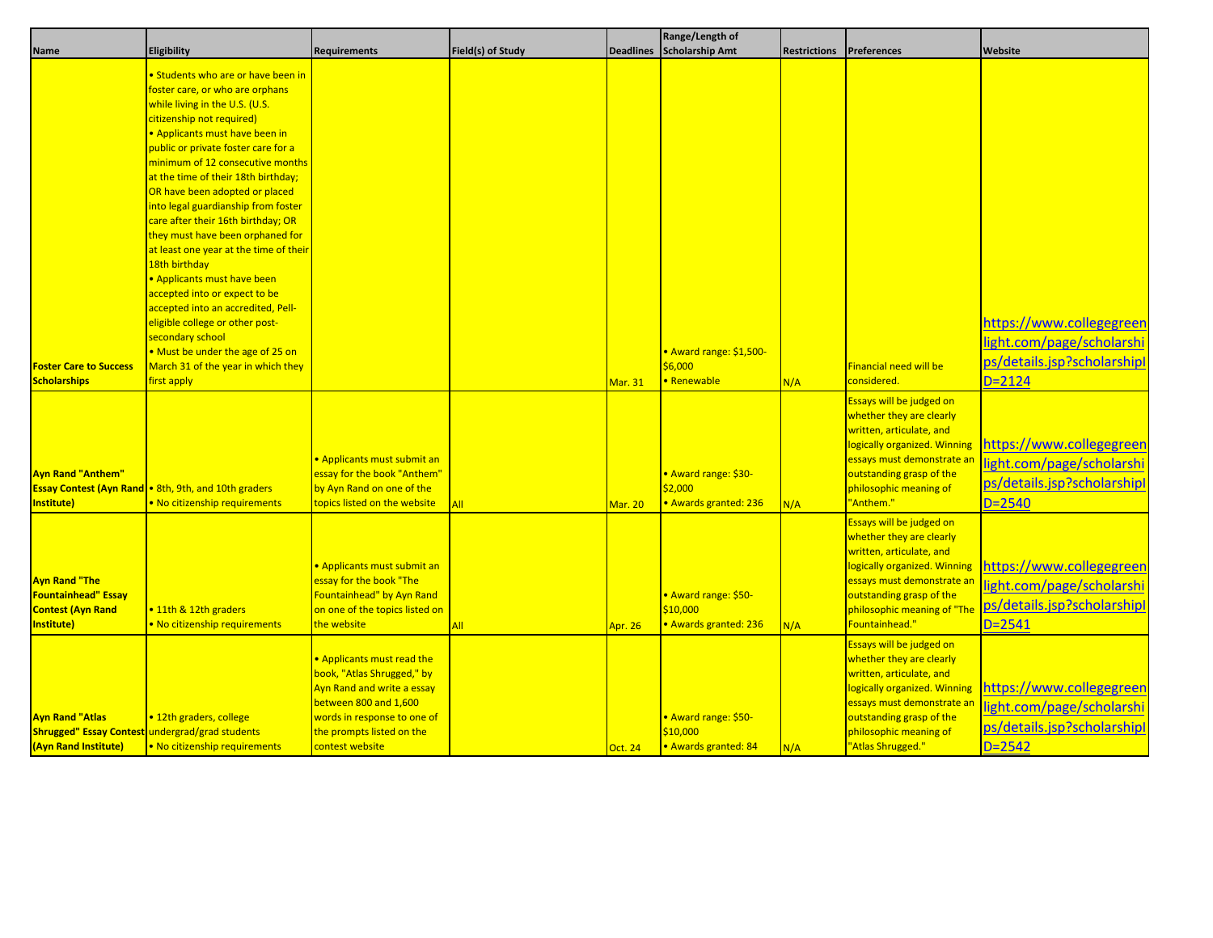|                                                                                              |                                                                                                             |                                                                                                                                                                                                |                   |                  | Range/Length of                                          |                     |                                                                                                                                                                                                                             |                                                                                                    |
|----------------------------------------------------------------------------------------------|-------------------------------------------------------------------------------------------------------------|------------------------------------------------------------------------------------------------------------------------------------------------------------------------------------------------|-------------------|------------------|----------------------------------------------------------|---------------------|-----------------------------------------------------------------------------------------------------------------------------------------------------------------------------------------------------------------------------|----------------------------------------------------------------------------------------------------|
| <b>Name</b>                                                                                  | Eligibility                                                                                                 | <b>Requirements</b>                                                                                                                                                                            | Field(s) of Study | <b>Deadlines</b> | <b>Scholarship Amt</b>                                   | <b>Restrictions</b> | <b>Preferences</b>                                                                                                                                                                                                          | Website                                                                                            |
|                                                                                              | <b>• Students who are or have been in</b>                                                                   |                                                                                                                                                                                                |                   |                  |                                                          |                     |                                                                                                                                                                                                                             |                                                                                                    |
|                                                                                              | foster care, or who are orphans                                                                             |                                                                                                                                                                                                |                   |                  |                                                          |                     |                                                                                                                                                                                                                             |                                                                                                    |
|                                                                                              | while living in the U.S. (U.S.                                                                              |                                                                                                                                                                                                |                   |                  |                                                          |                     |                                                                                                                                                                                                                             |                                                                                                    |
|                                                                                              | citizenship not required)                                                                                   |                                                                                                                                                                                                |                   |                  |                                                          |                     |                                                                                                                                                                                                                             |                                                                                                    |
|                                                                                              | • Applicants must have been in                                                                              |                                                                                                                                                                                                |                   |                  |                                                          |                     |                                                                                                                                                                                                                             |                                                                                                    |
|                                                                                              | public or private foster care for a                                                                         |                                                                                                                                                                                                |                   |                  |                                                          |                     |                                                                                                                                                                                                                             |                                                                                                    |
|                                                                                              | minimum of 12 consecutive months                                                                            |                                                                                                                                                                                                |                   |                  |                                                          |                     |                                                                                                                                                                                                                             |                                                                                                    |
|                                                                                              | at the time of their 18th birthday;                                                                         |                                                                                                                                                                                                |                   |                  |                                                          |                     |                                                                                                                                                                                                                             |                                                                                                    |
|                                                                                              | OR have been adopted or placed                                                                              |                                                                                                                                                                                                |                   |                  |                                                          |                     |                                                                                                                                                                                                                             |                                                                                                    |
|                                                                                              | into legal guardianship from foster                                                                         |                                                                                                                                                                                                |                   |                  |                                                          |                     |                                                                                                                                                                                                                             |                                                                                                    |
|                                                                                              | care after their 16th birthday; OR                                                                          |                                                                                                                                                                                                |                   |                  |                                                          |                     |                                                                                                                                                                                                                             |                                                                                                    |
|                                                                                              | they must have been orphaned for                                                                            |                                                                                                                                                                                                |                   |                  |                                                          |                     |                                                                                                                                                                                                                             |                                                                                                    |
|                                                                                              | at least one year at the time of their                                                                      |                                                                                                                                                                                                |                   |                  |                                                          |                     |                                                                                                                                                                                                                             |                                                                                                    |
|                                                                                              | 18th birthday                                                                                               |                                                                                                                                                                                                |                   |                  |                                                          |                     |                                                                                                                                                                                                                             |                                                                                                    |
|                                                                                              | • Applicants must have been                                                                                 |                                                                                                                                                                                                |                   |                  |                                                          |                     |                                                                                                                                                                                                                             |                                                                                                    |
|                                                                                              | accepted into or expect to be                                                                               |                                                                                                                                                                                                |                   |                  |                                                          |                     |                                                                                                                                                                                                                             |                                                                                                    |
|                                                                                              | accepted into an accredited, Pell-                                                                          |                                                                                                                                                                                                |                   |                  |                                                          |                     |                                                                                                                                                                                                                             |                                                                                                    |
|                                                                                              | eligible college or other post-                                                                             |                                                                                                                                                                                                |                   |                  |                                                          |                     |                                                                                                                                                                                                                             | https://www.collegegreen                                                                           |
|                                                                                              | secondary school                                                                                            |                                                                                                                                                                                                |                   |                  |                                                          |                     |                                                                                                                                                                                                                             |                                                                                                    |
|                                                                                              | . Must be under the age of 25 on                                                                            |                                                                                                                                                                                                |                   |                  | Award range: \$1,500-                                    |                     |                                                                                                                                                                                                                             | light.com/page/scholarshi                                                                          |
| <b>Foster Care to Success</b>                                                                | March 31 of the year in which they                                                                          |                                                                                                                                                                                                |                   |                  | \$6,000                                                  |                     | <b>Financial need will be</b>                                                                                                                                                                                               | ps/details.jsp?scholarshipl                                                                        |
| <b>Scholarships</b>                                                                          | first apply                                                                                                 |                                                                                                                                                                                                |                   | <b>Mar. 31</b>   | <b>Renewable</b>                                         | N/A                 | considered.                                                                                                                                                                                                                 | $D = 2124$                                                                                         |
| <b>Ayn Rand "Anthem"</b><br>Institute)                                                       | <b>Essay Contest (Ayn Rand   •</b> 8th, 9th, and 10th graders<br>. No citizenship requirements              | • Applicants must submit an<br>essay for the book "Anthem"<br>by Ayn Rand on one of the<br>topics listed on the website                                                                        | All               | <b>Mar. 20</b>   | Award range: \$30-<br>\$2,000<br>· Awards granted: 236   | N/A                 | Essays will be judged on<br>whether they are clearly<br>written, articulate, and<br>logically organized. Winning<br>essays must demonstrate ar<br>outstanding grasp of the<br>philosophic meaning of<br>"Anthem."           | https://www.collegegreen<br>light.com/page/scholarshi<br>ps/details.jsp?scholarshipl<br>$D = 2540$ |
| <b>Ayn Rand "The</b><br><b>Fountainhead" Essay</b><br><b>Contest (Ayn Rand</b><br>Institute) | • 11th & 12th graders<br>. No citizenship requirements                                                      | · Applicants must submit an<br>essay for the book "The<br>Fountainhead" by Ayn Rand<br>on one of the topics listed on<br>the website                                                           | <b>All</b>        | <b>Apr. 26</b>   | Award range: \$50-<br>\$10,000<br>· Awards granted: 236  | N/A                 | Essays will be judged on<br>whether they are clearly<br>written, articulate, and<br>logically organized. Winning<br>essays must demonstrate an<br>outstanding grasp of the<br>philosophic meaning of "The<br>Fountainhead." | https://www.collegegreen<br>light.com/page/scholarshi<br>ps/details.jsp?scholarshipl<br>$D = 2541$ |
| <b>Ayn Rand "Atlas</b><br>(Ayn Rand Institute)                                               | • 12th graders, college<br>Shrugged" Essay Contest undergrad/grad students<br>. No citizenship requirements | . Applicants must read the<br>book, "Atlas Shrugged," by<br>Ayn Rand and write a essay<br>between 800 and 1,600<br>words in response to one of<br>the prompts listed on the<br>contest website |                   | <b>Oct. 24</b>   | • Award range: \$50-<br>\$10,000<br>· Awards granted: 84 | N/A                 | Essays will be judged on<br>whether they are clearly<br>written, articulate, and<br>logically organized. Winning<br>essays must demonstrate an<br>outstanding grasp of the<br>philosophic meaning of<br>"Atlas Shrugged."   | https://www.collegegreen<br>light.com/page/scholarshi<br>ps/details.jsp?scholarshipl<br>$D = 2542$ |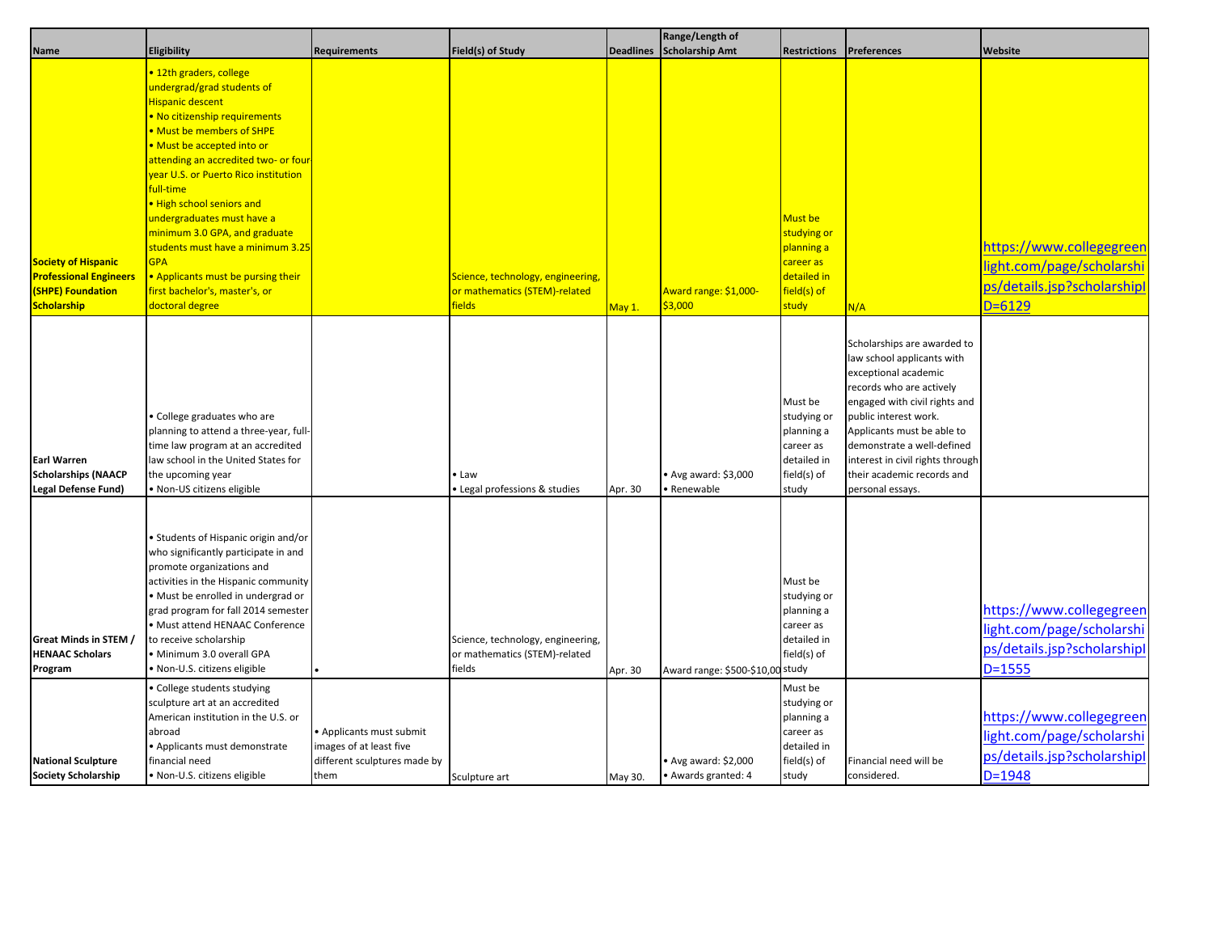|                                                                                                        |                                                                                                                                                                                                                                                                                                                                                                                                                                                                                                              |                                                                                             |                                                                                     |                  | Range/Length of                                   |                                                                                          |                                                                                                                                                                                                                                                                                                                           |                                                                                                    |
|--------------------------------------------------------------------------------------------------------|--------------------------------------------------------------------------------------------------------------------------------------------------------------------------------------------------------------------------------------------------------------------------------------------------------------------------------------------------------------------------------------------------------------------------------------------------------------------------------------------------------------|---------------------------------------------------------------------------------------------|-------------------------------------------------------------------------------------|------------------|---------------------------------------------------|------------------------------------------------------------------------------------------|---------------------------------------------------------------------------------------------------------------------------------------------------------------------------------------------------------------------------------------------------------------------------------------------------------------------------|----------------------------------------------------------------------------------------------------|
| Name                                                                                                   | Eligibility                                                                                                                                                                                                                                                                                                                                                                                                                                                                                                  | <b>Requirements</b>                                                                         | Field(s) of Study                                                                   | <b>Deadlines</b> | <b>Scholarship Amt</b>                            | <b>Restrictions</b>                                                                      | <b>Preferences</b>                                                                                                                                                                                                                                                                                                        | Website                                                                                            |
| <b>Society of Hispanic</b><br><b>Professional Engineers</b><br><b>(SHPE) Foundation</b><br>Scholarship | • 12th graders, college<br>undergrad/grad students of<br>Hispanic descent<br>• No citizenship requirements<br>• Must be members of SHPE<br>. Must be accepted into or<br>attending an accredited two- or four<br>vear U.S. or Puerto Rico institution<br>full-time<br>. High school seniors and<br>undergraduates must have a<br>minimum 3.0 GPA, and graduate<br>students must have a minimum 3.25<br><b>GPA</b><br>. Applicants must be pursing their<br>first bachelor's, master's, or<br>doctoral degree |                                                                                             | Science, technology, engineering,<br>or mathematics (STEM)-related<br><b>fields</b> | May 1.           | Award range: \$1,000-<br>\$3,000                  | Must be<br>studying or<br>planning a<br>career as<br>detailed in<br>field(s) of<br>study | N/A                                                                                                                                                                                                                                                                                                                       | https://www.collegegreen<br>light.com/page/scholarshi<br>ps/details.jsp?scholarshipl<br>$D = 6129$ |
| <b>Earl Warren</b><br><b>Scholarships (NAACP</b><br>Legal Defense Fund)                                | • College graduates who are<br>planning to attend a three-year, full-<br>time law program at an accredited<br>law school in the United States for<br>the upcoming year<br>· Non-US citizens eligible                                                                                                                                                                                                                                                                                                         |                                                                                             | • Law<br>Legal professions & studies                                                | Apr. 30          | Avg award: \$3,000<br>· Renewable                 | Must be<br>studying or<br>planning a<br>career as<br>detailed in<br>field(s) of<br>study | Scholarships are awarded to<br>law school applicants with<br>exceptional academic<br>records who are actively<br>engaged with civil rights and<br>public interest work.<br>Applicants must be able to<br>demonstrate a well-defined<br>interest in civil rights through<br>their academic records and<br>personal essays. |                                                                                                    |
| Great Minds in STEM /<br><b>HENAAC Scholars</b><br>Program                                             | · Students of Hispanic origin and/or<br>who significantly participate in and<br>promote organizations and<br>activities in the Hispanic community<br>· Must be enrolled in undergrad or<br>grad program for fall 2014 semester<br>· Must attend HENAAC Conference<br>to receive scholarship<br>· Minimum 3.0 overall GPA<br>· Non-U.S. citizens eligible                                                                                                                                                     |                                                                                             | Science, technology, engineering,<br>or mathematics (STEM)-related<br>fields        | Apr. 30          | Award range: \$500-\$10,00 study                  | Must be<br>studying or<br>planning a<br>career as<br>detailed in<br>field(s) of          |                                                                                                                                                                                                                                                                                                                           | https://www.collegegreen<br>light.com/page/scholarshi<br>ps/details.jsp?scholarshipl<br>$D = 1555$ |
| <b>National Sculpture</b><br>Society Scholarship                                                       | College students studying<br>sculpture art at an accredited<br>American institution in the U.S. or<br>abroad<br>· Applicants must demonstrate<br>financial need<br>· Non-U.S. citizens eligible                                                                                                                                                                                                                                                                                                              | • Applicants must submit<br>images of at least five<br>different sculptures made by<br>them | Sculpture art                                                                       | May 30.          | $\bullet$ Avg award: \$2,000<br>Awards granted: 4 | Must be<br>studying or<br>planning a<br>career as<br>detailed in<br>field(s) of<br>study | Financial need will be<br>considered.                                                                                                                                                                                                                                                                                     | https://www.collegegreen<br>light.com/page/scholarshi<br>ps/details.jsp?scholarshipl<br>$D = 1948$ |